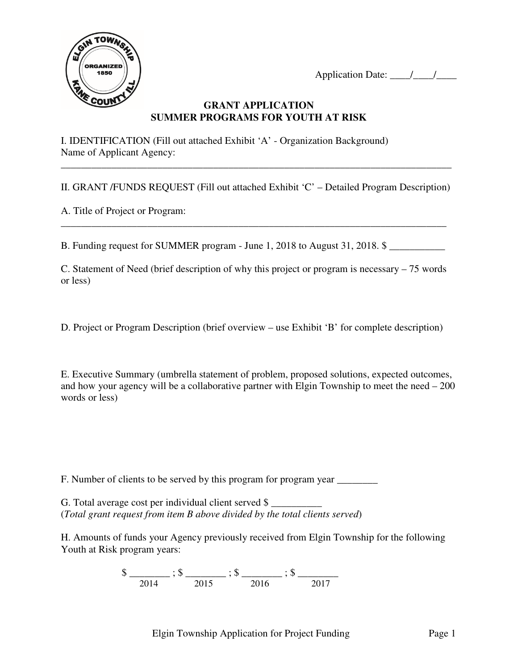Application Date: \_\_\_\_/\_\_\_\_/\_\_\_\_



### **GRANT APPLICATION SUMMER PROGRAMS FOR YOUTH AT RISK**

I. IDENTIFICATION (Fill out attached Exhibit 'A' - Organization Background) Name of Applicant Agency:

II. GRANT /FUNDS REQUEST (Fill out attached Exhibit 'C' – Detailed Program Description)

\_\_\_\_\_\_\_\_\_\_\_\_\_\_\_\_\_\_\_\_\_\_\_\_\_\_\_\_\_\_\_\_\_\_\_\_\_\_\_\_\_\_\_\_\_\_\_\_\_\_\_\_\_\_\_\_\_\_\_\_\_\_\_\_\_\_\_\_\_\_\_\_\_\_\_\_

\_\_\_\_\_\_\_\_\_\_\_\_\_\_\_\_\_\_\_\_\_\_\_\_\_\_\_\_\_\_\_\_\_\_\_\_\_\_\_\_\_\_\_\_\_\_\_\_\_\_\_\_\_\_\_\_\_\_\_\_\_\_\_\_\_\_\_\_\_\_\_\_\_\_\_\_\_

A. Title of Project or Program:

B. Funding request for SUMMER program - June 1, 2018 to August 31, 2018.  $\frac{1}{2}$ 

C. Statement of Need (brief description of why this project or program is necessary – 75 words or less)

D. Project or Program Description (brief overview – use Exhibit 'B' for complete description)

E. Executive Summary (umbrella statement of problem, proposed solutions, expected outcomes, and how your agency will be a collaborative partner with Elgin Township to meet the need – 200 words or less)

F. Number of clients to be served by this program for program year \_\_\_\_\_\_\_\_\_\_\_\_\_

G. Total average cost per individual client served \$ (*Total grant request from item B above divided by the total clients served*)

H. Amounts of funds your Agency previously received from Elgin Township for the following Youth at Risk program years:

 $\$\underline{\hspace{1cm}},\$\underline{\hspace{1cm}},\$\underline{\hspace{1cm}},\$\underline{\hspace{1cm}},\$\underline{\hspace{1cm}},\$\underline{\hspace{1cm}},\$\underline{\hspace{1cm}},\$\underline{\hspace{1cm}},\$\underline{\hspace{1cm}},\$\underline{\hspace{1cm}},\$\underline{\hspace{1cm}},\$\underline{\hspace{1cm}},\$\underline{\hspace{1cm}},\$\underline{\hspace{1cm}},\$\underline{\hspace{1cm}},\$\underline{\hspace{1cm}},\$\underline{\hspace{1cm}},\$\underline{\hspace{1cm}},\$\underline{\hspace{1cm}},\$\underline{\hspace{1cm}},\$\underline{\hspace{1cm}},\$\underline{\hspace{1cm}},$ 2014 2015 2016 2017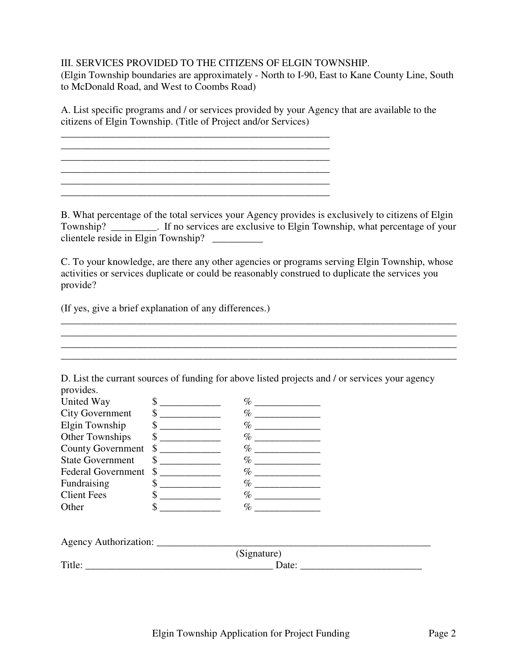### III. SERVICES PROVIDED TO THE CITIZENS OF ELGIN TOWNSHIP.

\_\_\_\_\_\_\_\_\_\_\_\_\_\_\_\_\_\_\_\_\_\_\_\_\_\_\_\_\_\_\_\_\_\_\_\_\_\_\_\_\_\_\_\_\_\_\_\_\_\_\_\_\_ \_\_\_\_\_\_\_\_\_\_\_\_\_\_\_\_\_\_\_\_\_\_\_\_\_\_\_\_\_\_\_\_\_\_\_\_\_\_\_\_\_\_\_\_\_\_\_\_\_\_\_\_\_

\_\_\_\_\_\_\_\_\_\_\_\_\_\_\_\_\_\_\_\_\_\_\_\_\_\_\_\_\_\_\_\_\_\_\_\_\_\_\_\_\_\_\_\_\_\_\_\_\_\_\_\_\_ \_\_\_\_\_\_\_\_\_\_\_\_\_\_\_\_\_\_\_\_\_\_\_\_\_\_\_\_\_\_\_\_\_\_\_\_\_\_\_\_\_\_\_\_\_\_\_\_\_\_\_\_\_

(Elgin Township boundaries are approximately - North to I-90, East to Kane County Line, South to McDonald Road, and West to Coombs Road)

A. List specific programs and / or services provided by your Agency that are available to the citizens of Elgin Township. (Title of Project and/or Services)

B. What percentage of the total services your Agency provides is exclusively to citizens of Elgin Township? \_\_\_\_\_\_\_\_\_. If no services are exclusive to Elgin Township, what percentage of your clientele reside in Elgin Township? \_\_\_\_\_\_\_\_\_\_

C. To your knowledge, are there any other agencies or programs serving Elgin Township, whose activities or services duplicate or could be reasonably construed to duplicate the services you provide?

\_\_\_\_\_\_\_\_\_\_\_\_\_\_\_\_\_\_\_\_\_\_\_\_\_\_\_\_\_\_\_\_\_\_\_\_\_\_\_\_\_\_\_\_\_\_\_\_\_\_\_\_\_\_\_\_\_\_\_\_\_\_\_\_\_\_\_\_\_\_\_\_\_\_\_\_\_\_

\_\_\_\_\_\_\_\_\_\_\_\_\_\_\_\_\_\_\_\_\_\_\_\_\_\_\_\_\_\_\_\_\_\_\_\_\_\_\_\_\_\_\_\_\_\_\_\_\_\_\_\_\_\_\_\_\_\_\_\_\_\_\_\_\_\_\_\_\_\_\_\_\_\_\_\_\_\_

(If yes, give a brief explanation of any differences.)

| provides.                 |                                                                                                                                                                                                                                                                                                                                                                                                                                                                                           |             |                                                                                                                                                                                                                                                                                                                                                                                                                                                   |
|---------------------------|-------------------------------------------------------------------------------------------------------------------------------------------------------------------------------------------------------------------------------------------------------------------------------------------------------------------------------------------------------------------------------------------------------------------------------------------------------------------------------------------|-------------|---------------------------------------------------------------------------------------------------------------------------------------------------------------------------------------------------------------------------------------------------------------------------------------------------------------------------------------------------------------------------------------------------------------------------------------------------|
| United Way                | $\frac{1}{2}$                                                                                                                                                                                                                                                                                                                                                                                                                                                                             |             |                                                                                                                                                                                                                                                                                                                                                                                                                                                   |
| <b>City Government</b>    | $\begin{picture}(20,20) \put(0,0){\line(1,0){10}} \put(15,0){\line(1,0){10}} \put(15,0){\line(1,0){10}} \put(15,0){\line(1,0){10}} \put(15,0){\line(1,0){10}} \put(15,0){\line(1,0){10}} \put(15,0){\line(1,0){10}} \put(15,0){\line(1,0){10}} \put(15,0){\line(1,0){10}} \put(15,0){\line(1,0){10}} \put(15,0){\line(1,0){10}} \put(15,0){\line(1$                                                                                                                                       | $\%$        |                                                                                                                                                                                                                                                                                                                                                                                                                                                   |
| Elgin Township            | $\begin{array}{c} \n \text{S} \quad \text{S} \quad \text{S} \quad \text{S} \quad \text{S} \quad \text{S} \quad \text{S} \quad \text{S} \quad \text{S} \quad \text{S} \quad \text{S} \quad \text{S} \quad \text{S} \quad \text{S} \quad \text{S} \quad \text{S} \quad \text{S} \quad \text{S} \quad \text{S} \quad \text{S} \quad \text{S} \quad \text{S} \quad \text{S} \quad \text{S} \quad \text{S} \quad \text{S} \quad \text{S} \quad \text{S} \quad \text{S} \quad \text{S} \quad \$ |             |                                                                                                                                                                                                                                                                                                                                                                                                                                                   |
| <b>Other Townships</b>    | $\sim$                                                                                                                                                                                                                                                                                                                                                                                                                                                                                    |             |                                                                                                                                                                                                                                                                                                                                                                                                                                                   |
| <b>County Government</b>  | $\sim$                                                                                                                                                                                                                                                                                                                                                                                                                                                                                    | $\%$        |                                                                                                                                                                                                                                                                                                                                                                                                                                                   |
| <b>State Government</b>   | $\frac{\text{S}}{\text{S}}$                                                                                                                                                                                                                                                                                                                                                                                                                                                               |             |                                                                                                                                                                                                                                                                                                                                                                                                                                                   |
| <b>Federal Government</b> | $\sim$                                                                                                                                                                                                                                                                                                                                                                                                                                                                                    |             |                                                                                                                                                                                                                                                                                                                                                                                                                                                   |
| Fundraising               | $\frac{\text{S}}{\text{S}}$                                                                                                                                                                                                                                                                                                                                                                                                                                                               |             |                                                                                                                                                                                                                                                                                                                                                                                                                                                   |
| <b>Client Fees</b>        | $\sim$                                                                                                                                                                                                                                                                                                                                                                                                                                                                                    |             |                                                                                                                                                                                                                                                                                                                                                                                                                                                   |
| Other                     | \$                                                                                                                                                                                                                                                                                                                                                                                                                                                                                        |             |                                                                                                                                                                                                                                                                                                                                                                                                                                                   |
|                           |                                                                                                                                                                                                                                                                                                                                                                                                                                                                                           |             |                                                                                                                                                                                                                                                                                                                                                                                                                                                   |
|                           |                                                                                                                                                                                                                                                                                                                                                                                                                                                                                           | (Signature) |                                                                                                                                                                                                                                                                                                                                                                                                                                                   |
|                           |                                                                                                                                                                                                                                                                                                                                                                                                                                                                                           |             | Date: $\frac{1}{\sqrt{1-\frac{1}{2}} \cdot \frac{1}{2} \cdot \frac{1}{2} \cdot \frac{1}{2} \cdot \frac{1}{2} \cdot \frac{1}{2} \cdot \frac{1}{2} \cdot \frac{1}{2} \cdot \frac{1}{2} \cdot \frac{1}{2} \cdot \frac{1}{2} \cdot \frac{1}{2} \cdot \frac{1}{2} \cdot \frac{1}{2} \cdot \frac{1}{2} \cdot \frac{1}{2} \cdot \frac{1}{2} \cdot \frac{1}{2} \cdot \frac{1}{2} \cdot \frac{1}{2} \cdot \frac{1}{2} \cdot \frac{1}{2} \cdot \frac{1}{2}$ |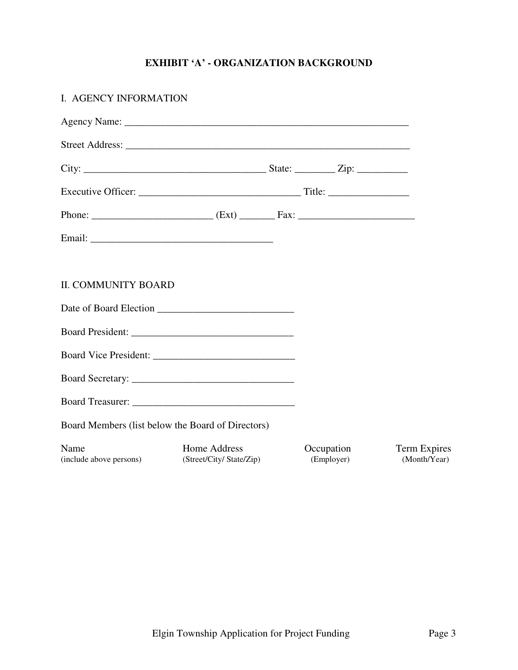### **EXHIBIT 'A' - ORGANIZATION BACKGROUND**

| I. AGENCY INFORMATION                             |                                          |                          |                              |
|---------------------------------------------------|------------------------------------------|--------------------------|------------------------------|
|                                                   |                                          |                          |                              |
|                                                   |                                          |                          |                              |
|                                                   |                                          |                          |                              |
|                                                   |                                          |                          |                              |
|                                                   |                                          |                          |                              |
|                                                   |                                          |                          |                              |
|                                                   |                                          |                          |                              |
| <b>II. COMMUNITY BOARD</b>                        |                                          |                          |                              |
| Date of Board Election                            |                                          |                          |                              |
|                                                   |                                          |                          |                              |
|                                                   |                                          |                          |                              |
|                                                   |                                          |                          |                              |
|                                                   |                                          |                          |                              |
| Board Members (list below the Board of Directors) |                                          |                          |                              |
| Name<br>(include above persons)                   | Home Address<br>(Street/City/ State/Zip) | Occupation<br>(Employer) | Term Expires<br>(Month/Year) |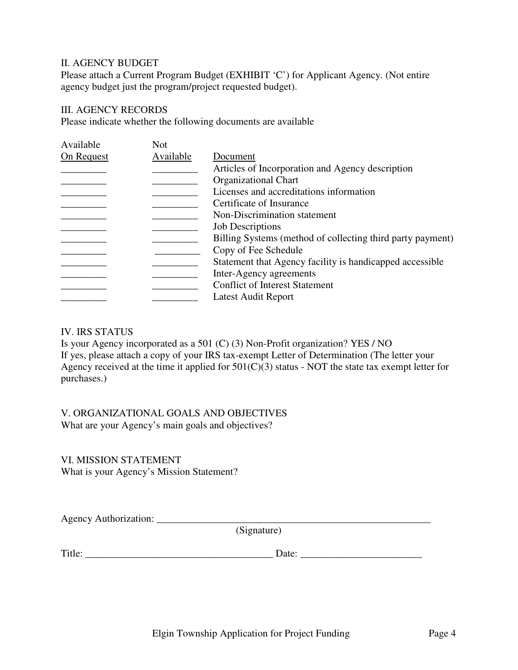### II. AGENCY BUDGET

Please attach a Current Program Budget (EXHIBIT 'C') for Applicant Agency. (Not entire agency budget just the program/project requested budget).

### III. AGENCY RECORDS

Please indicate whether the following documents are available

| Available  | <b>Not</b> |                                                            |
|------------|------------|------------------------------------------------------------|
| On Request | Available  | Document                                                   |
|            |            | Articles of Incorporation and Agency description           |
|            |            | <b>Organizational Chart</b>                                |
|            |            | Licenses and accreditations information                    |
|            |            | Certificate of Insurance                                   |
|            |            | Non-Discrimination statement                               |
|            |            | <b>Job Descriptions</b>                                    |
|            |            | Billing Systems (method of collecting third party payment) |
|            |            | Copy of Fee Schedule                                       |
|            |            | Statement that Agency facility is handicapped accessible   |
|            |            | Inter-Agency agreements                                    |
|            |            | <b>Conflict of Interest Statement</b>                      |
|            |            | Latest Audit Report                                        |
|            |            |                                                            |

#### IV. IRS STATUS

Is your Agency incorporated as a 501 (C) (3) Non-Profit organization? YES / NO If yes, please attach a copy of your IRS tax-exempt Letter of Determination (The letter your Agency received at the time it applied for  $501(C)(3)$  status - NOT the state tax exempt letter for purchases.)

# V. ORGANIZATIONAL GOALS AND OBJECTIVES

What are your Agency's main goals and objectives?

## VI. MISSION STATEMENT

What is your Agency's Mission Statement?

Agency Authorization: \_\_\_\_\_\_\_\_\_\_\_\_\_\_\_\_\_\_\_\_\_\_\_\_\_\_\_\_\_\_\_\_\_\_\_\_\_\_\_\_\_\_\_\_\_\_\_\_\_\_\_\_\_\_ (Signature)

Title: \_\_\_\_\_\_\_\_\_\_\_\_\_\_\_\_\_\_\_\_\_\_\_\_\_\_\_\_\_\_\_\_\_\_\_\_\_ Date: \_\_\_\_\_\_\_\_\_\_\_\_\_\_\_\_\_\_\_\_\_\_\_\_